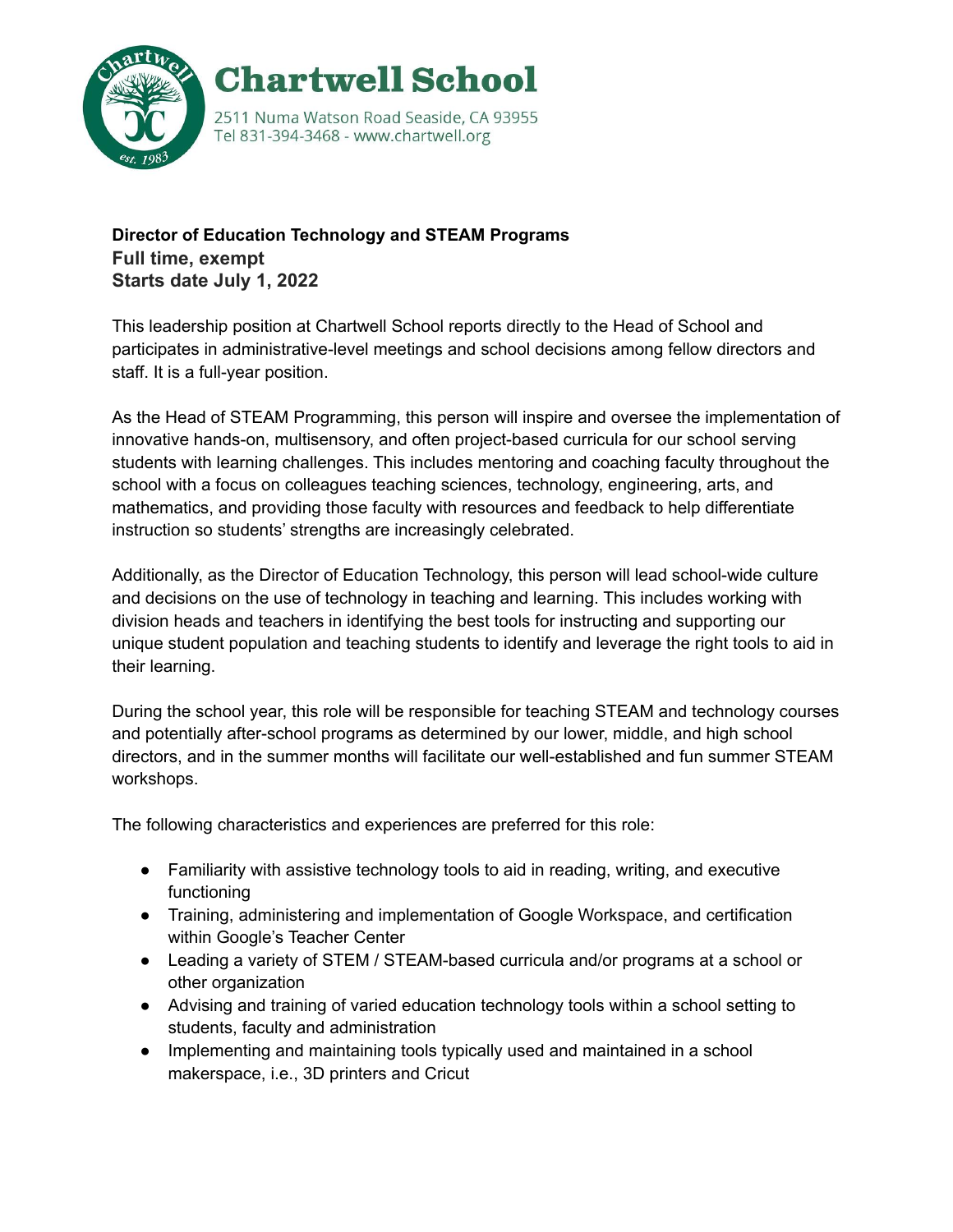

## **Director of Education Technology and STEAM Programs Full time, exempt Starts date July 1, 2022**

This leadership position at Chartwell School reports directly to the Head of School and participates in administrative-level meetings and school decisions among fellow directors and staff. It is a full-year position.

As the Head of STEAM Programming, this person will inspire and oversee the implementation of innovative hands-on, multisensory, and often project-based curricula for our school serving students with learning challenges. This includes mentoring and coaching faculty throughout the school with a focus on colleagues teaching sciences, technology, engineering, arts, and mathematics, and providing those faculty with resources and feedback to help differentiate instruction so students' strengths are increasingly celebrated.

Additionally, as the Director of Education Technology, this person will lead school-wide culture and decisions on the use of technology in teaching and learning. This includes working with division heads and teachers in identifying the best tools for instructing and supporting our unique student population and teaching students to identify and leverage the right tools to aid in their learning.

During the school year, this role will be responsible for teaching STEAM and technology courses and potentially after-school programs as determined by our lower, middle, and high school directors, and in the summer months will facilitate our well-established and fun summer STEAM workshops.

The following characteristics and experiences are preferred for this role:

- Familiarity with assistive technology tools to aid in reading, writing, and executive functioning
- Training, administering and implementation of Google Workspace, and certification within Google's Teacher Center
- Leading a variety of STEM / STEAM-based curricula and/or programs at a school or other organization
- Advising and training of varied education technology tools within a school setting to students, faculty and administration
- Implementing and maintaining tools typically used and maintained in a school makerspace, i.e., 3D printers and Cricut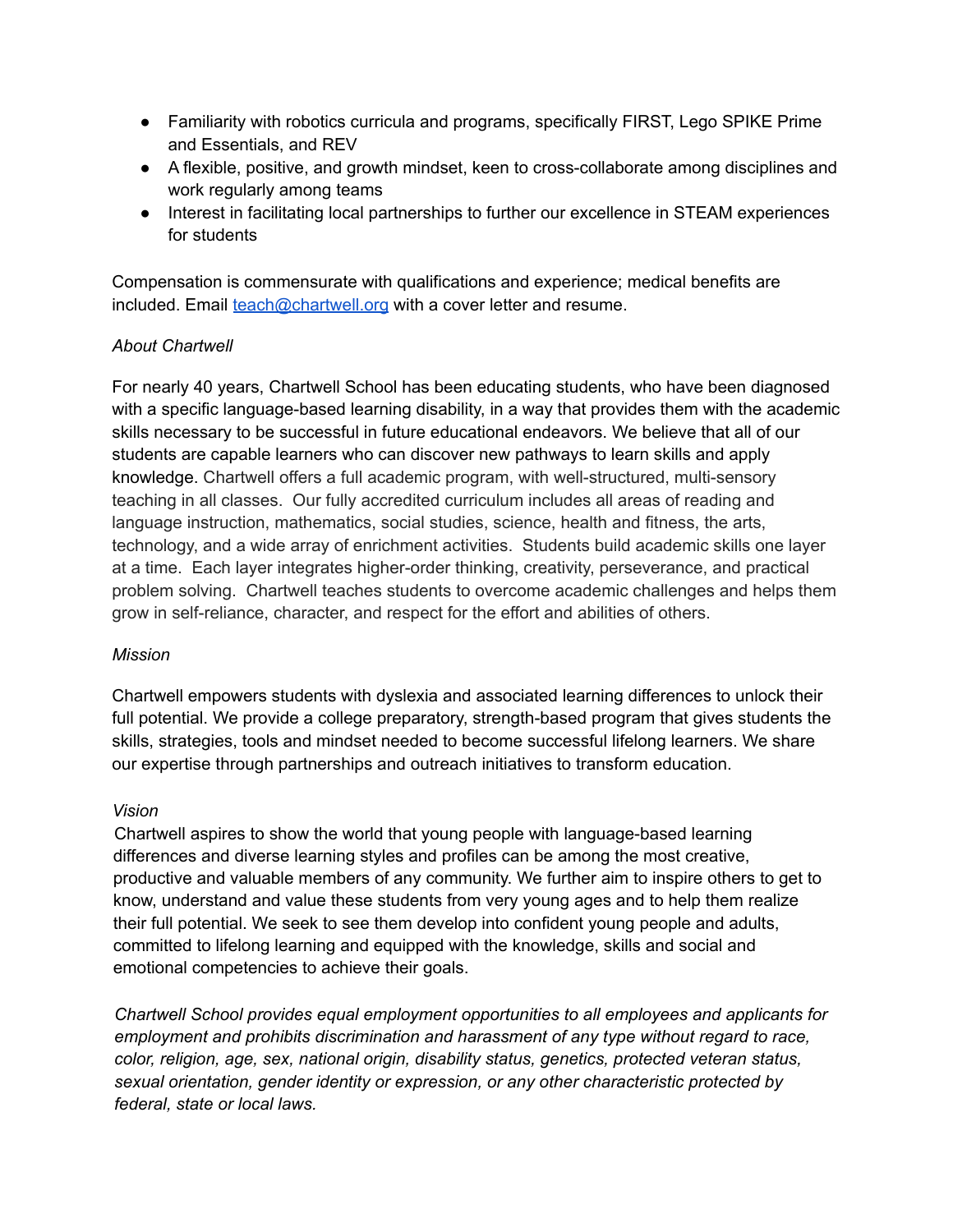- Familiarity with robotics curricula and programs, specifically FIRST, Lego SPIKE Prime and Essentials, and REV
- A flexible, positive, and growth mindset, keen to cross-collaborate among disciplines and work regularly among teams
- Interest in facilitating local partnerships to further our excellence in STEAM experiences for students

Compensation is commensurate with qualifications and experience; medical benefits are included. Email [teach@chartwell.org](mailto:teach@chartwell.org) with a cover letter and resume.

## *About Chartwell*

For nearly 40 years, Chartwell School has been educating students, who have been diagnosed with a specific language-based learning disability, in a way that provides them with the academic skills necessary to be successful in future educational endeavors. We believe that all of our students are capable learners who can discover new pathways to learn skills and apply knowledge. Chartwell offers a full academic program, with well-structured, multi-sensory teaching in all classes. Our fully accredited curriculum includes all areas of reading and language instruction, mathematics, social studies, science, health and fitness, the arts, technology, and a wide array of enrichment activities. Students build academic skills one layer at a time. Each layer integrates higher-order thinking, creativity, perseverance, and practical problem solving. Chartwell teaches students to overcome academic challenges and helps them grow in self-reliance, character, and respect for the effort and abilities of others.

## *Mission*

Chartwell empowers students with dyslexia and associated learning differences to unlock their full potential. We provide a college preparatory, strength-based program that gives students the skills, strategies, tools and mindset needed to become successful lifelong learners. We share our expertise through partnerships and outreach initiatives to transform education.

## *Vision*

Chartwell aspires to show the world that young people with language-based learning differences and diverse learning styles and profiles can be among the most creative, productive and valuable members of any community. We further aim to inspire others to get to know, understand and value these students from very young ages and to help them realize their full potential. We seek to see them develop into confident young people and adults, committed to lifelong learning and equipped with the knowledge, skills and social and emotional competencies to achieve their goals.

*Chartwell School provides equal employment opportunities to all employees and applicants for employment and prohibits discrimination and harassment of any type without regard to race, color, religion, age, sex, national origin, disability status, genetics, protected veteran status, sexual orientation, gender identity or expression, or any other characteristic protected by federal, state or local laws.*